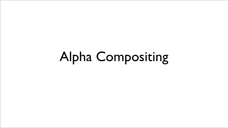## Alpha Compositing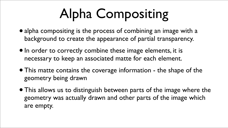## Alpha Compositing

- alpha compositing is the process of combining an image with a background to create the appearance of partial transparency.
- $\bullet$  In order to correctly combine these image elements, it is necessary to keep an associated matte for each element.
- This matte contains the coverage information the shape of the geometry being drawn
- This allows us to distinguish between parts of the image where the geometry was actually drawn and other parts of the image which are empty.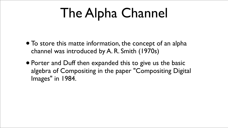## The Alpha Channel

- To store this matte information, the concept of an alpha channel was introduced by A. R. Smith (1970s)
- Porter and Duff then expanded this to give us the basic algebra of Compositing in the paper "Compositing Digital Images" in 1984.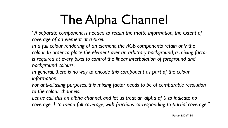## The Alpha Channel

*"A separate component is needed to retain the matte information, the extent of coverage of an element at a pixel.*  In a full colour rendering of an element, the RGB components retain only the colour. In order to place the element over an arbitrary background, a mixing factor is required at every pixel to control the linear interpolation of foreground and *background colours.* 

Let us call this an alpha channel, and let us treat an alpha of 0 to indicate no *coverage, 1 to mean full coverage, with fractions corresponding to partial coverage."*

*In general, there is no way to encode this component as part of the colour information.* 

*For anti-aliasing purposes, this mixing factor needs to be of comparable resolution to the colour channels.*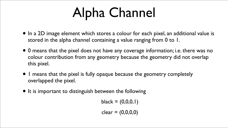## Alpha Channel

- $black = (0,0,0,1)$
- $clear = (0,0,0,0)$

- In a 2D image element which stores a colour for each pixel, an additional value is stored in the alpha channel containing a value ranging from 0 to 1.
- 0 means that the pixel does not have any coverage information; i.e. there was no colour contribution from any geometry because the geometry did not overlap this pixel.
- I means that the pixel is fully opaque because the geometry completely overlapped the pixel.
- It is important to distinguish between the following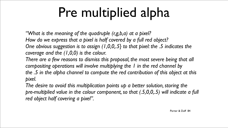## Pre multiplied alpha

*"What is the meaning of the quadruple (r,g,b,a) at a pixel? How do we express that a pixel is half covered by a full red object? One obvious suggestion is to assign (1,0,0,.5} to that pixel: the .5 indicates the coverage and the (1,0,0) is the colour.*  There are a few reasons to dismiss this proposal, the most severe being that all *compositing operations will involve multiplying the 1 in the red channel by the .5 in the alpha channel to compute the red contribution of this object at this pixel.* 

The desire to avoid this multiplication points up a better solution, storing the *pre-multiplied value in the colour component, so that (.5,0,0,.5) will indicate a full red object half covering a pixel".*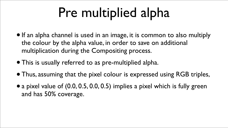## Pre multiplied alpha

- If an alpha channel is used in an image, it is common to also multiply the colour by the alpha value, in order to save on additional multiplication during the Compositing process.
- This is usually referred to as pre-multiplied alpha.
- Thus, assuming that the pixel colour is expressed using RGB triples,
- a pixel value of (0.0, 0.5, 0.0, 0.5) implies a pixel which is fully green and has 50% coverage.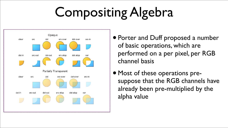# Compositing Algebra



- Porter and Duff proposed a number of basic operations, which are performed on a per pixel, per RGB channel basis
- Most of these operations presuppose that the RGB channels have already been pre-multiplied by the alpha value



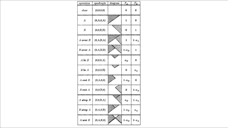| operation    | quadruple                     |
|--------------|-------------------------------|
| clear        | (0,0,0,0)                     |
| A            | $(0,\mathbf{A},0,\mathbf{A})$ |
| В            | (0, 0, B, B)                  |
| $A$ over $B$ | (0, A, B, A)                  |
| $B$ over $A$ | $(0,\!A,\!B,\!B)$             |
| $A$ in $B$   | (0,0,0,A)                     |
| $B$ in $A$   | (0,0,0,B)                     |
| $A$ out $B$  | (0, A, 0, 0)                  |
| $B$ out $A$  | (0,0,B,0)                     |
| A atop $B$   | (0,0,B,A)                     |
| $B$ atop $A$ | (0, A, 0, B)                  |
| $A$ xor $B$  | (0, A, B, 0)                  |
|              |                               |

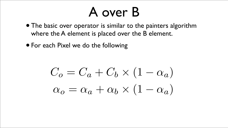### A over B

- The basic over operator is similar to the painters algorithm where the A element is placed over the B element.
- For each Pixel we do the following

 $C_o = C_a + C_b \times (1 - \alpha_a)$  $\alpha_o = \alpha_a + \alpha_b \times (1 - \alpha_a)$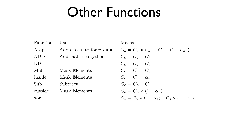#### Other Functions

| Function | Use                       | <b>Maths</b>                                                  |
|----------|---------------------------|---------------------------------------------------------------|
| Atop     | Add effects to foreground | $C_o = C_a \times \alpha_b + (C_b \times (1 - \alpha_a))$     |
| ADD      | Add mattes together       | $C_o = C_a + C_b$                                             |
| DIV      |                           | $C_o = C_a \div C_b$                                          |
| Mult     | Mask Elements             | $C_o = C_a \times C_b$                                        |
| Inside   | Mask Elements             | $C_o = C_a \times \alpha_b$                                   |
| Sub      | Subtract                  | $C_o = C_a - C_b$                                             |
| outside  | Mask Elements             | $C_o = C_a \times (1 - \alpha_b)$                             |
| xor      |                           | $C_o = C_a \times (1 - \alpha_b) + C_b \times (1 - \alpha_a)$ |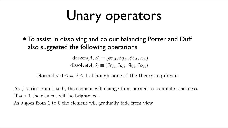# Unary operators

## also suggested the following operations

- 
- $\text{darken}(A, \phi) \equiv (\phi r_A, \phi g_A, \phi b_A, \alpha_A)$  $dissolve(A, \delta) \equiv (\delta r_A, \delta q_A, \delta b_A, \delta \alpha_A)$

As  $\phi$  varies from 1 to 0, the element will change from normal to complete blackness. If  $\phi > 1$  the element will be brightened. As  $\delta$  goes from 1 to 0 the element will gradually fade from view

• To assist in dissolving and colour balancing Porter and Duff

- Normally  $0 \leq \phi, \delta \leq 1$  although none of the theory requires it
	-
	-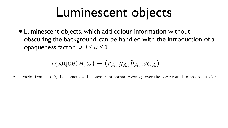## Luminescent objects

• Luminescent objects, which add colour information without obscuring the background, can be handled with the introduction of a opaqueness factor  $\omega, 0 \leq \omega \leq 1$ 

#### $opaque(A, \omega) \equiv (r_A, q_A, b_A, \omega \alpha_A)$

As  $\omega$  varies from 1 to 0, the element will change from normal coverage over the background to no obscuration.

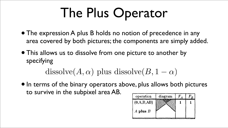## The Plus Operator

- The expression A plus B holds no notion of precedence in any area covered by both pictures; the components are simply added.
- This allows us to dissolve from one picture to another by specifying

- $\bullet$  In terms of the binary operators above, plus allows both pictures to survive in the subpixel area AB.
- $dissolve(A, \alpha)$  plus dissolve $(B, 1 \alpha)$